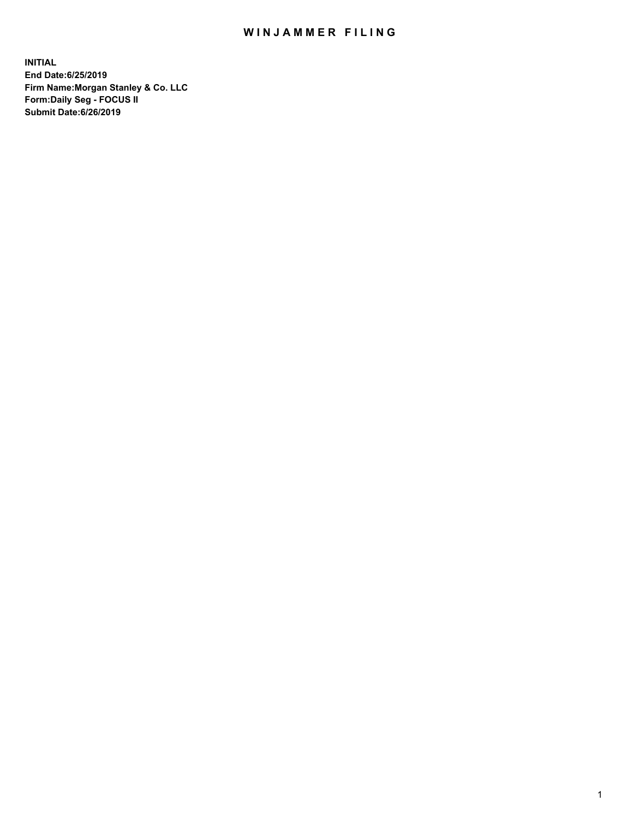## WIN JAMMER FILING

**INITIAL End Date:6/25/2019 Firm Name:Morgan Stanley & Co. LLC Form:Daily Seg - FOCUS II Submit Date:6/26/2019**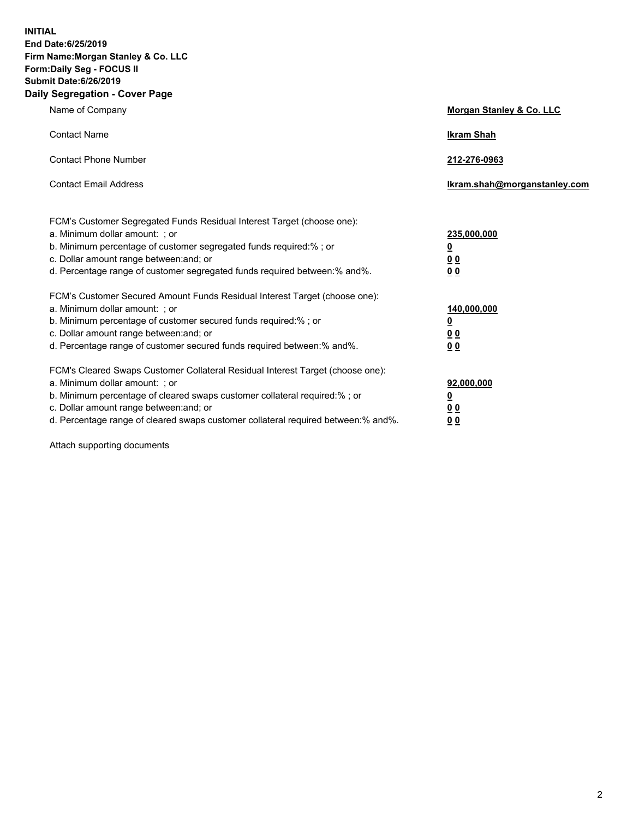**INITIAL End Date:6/25/2019 Firm Name:Morgan Stanley & Co. LLC Form:Daily Seg - FOCUS II Submit Date:6/26/2019 Daily Segregation - Cover Page**

| Name of Company                                                                   | Morgan Stanley & Co. LLC     |
|-----------------------------------------------------------------------------------|------------------------------|
| <b>Contact Name</b>                                                               | <b>Ikram Shah</b>            |
| <b>Contact Phone Number</b>                                                       | 212-276-0963                 |
| <b>Contact Email Address</b>                                                      | Ikram.shah@morganstanley.com |
| FCM's Customer Segregated Funds Residual Interest Target (choose one):            |                              |
| a. Minimum dollar amount: ; or                                                    | 235,000,000                  |
| b. Minimum percentage of customer segregated funds required:% ; or                | <u>0</u>                     |
| c. Dollar amount range between: and; or                                           | <u>0 0</u>                   |
| d. Percentage range of customer segregated funds required between: % and %.       | 00                           |
| FCM's Customer Secured Amount Funds Residual Interest Target (choose one):        |                              |
| a. Minimum dollar amount: ; or                                                    | 140,000,000                  |
| b. Minimum percentage of customer secured funds required:%; or                    | <u>0</u>                     |
| c. Dollar amount range between: and; or                                           | 0 <sub>0</sub>               |
| d. Percentage range of customer secured funds required between:% and%.            | 0 <sub>0</sub>               |
| FCM's Cleared Swaps Customer Collateral Residual Interest Target (choose one):    |                              |
| a. Minimum dollar amount: ; or                                                    | 92,000,000                   |
| b. Minimum percentage of cleared swaps customer collateral required:% ; or        | <u>0</u>                     |
| c. Dollar amount range between: and; or                                           | 0 Q                          |
| d. Percentage range of cleared swaps customer collateral required between:% and%. | 00                           |

Attach supporting documents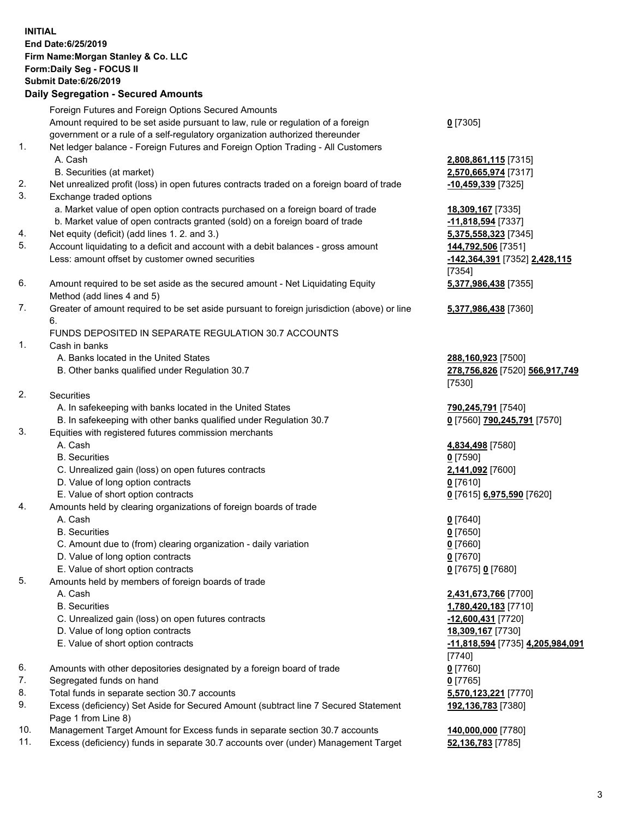## **INITIAL End Date:6/25/2019 Firm Name:Morgan Stanley & Co. LLC Form:Daily Seg - FOCUS II Submit Date:6/26/2019 Daily Segregation - Secured Amounts** Foreign Futures and Foreign Options Secured Amounts Amount required to be set aside pursuant to law, rule or regulation of a foreign government or a rule of a self-regulatory organization authorized thereunder **0** [7305] 1. Net ledger balance - Foreign Futures and Foreign Option Trading - All Customers A. Cash **2,808,861,115** [7315] B. Securities (at market) **2,570,665,974** [7317] 2. Net unrealized profit (loss) in open futures contracts traded on a foreign board of trade **-10,459,339** [7325] 3. Exchange traded options a. Market value of open option contracts purchased on a foreign board of trade **18,309,167** [7335] b. Market value of open contracts granted (sold) on a foreign board of trade **-11,818,594** [7337] 4. Net equity (deficit) (add lines 1. 2. and 3.) **5,375,558,323** [7345] 5. Account liquidating to a deficit and account with a debit balances - gross amount **144,792,506** [7351] Less: amount offset by customer owned securities **-142,364,391** [7352] **2,428,115** [7354] 6. Amount required to be set aside as the secured amount - Net Liquidating Equity Method (add lines 4 and 5) **5,377,986,438** [7355] 7. Greater of amount required to be set aside pursuant to foreign jurisdiction (above) or line 6. **5,377,986,438** [7360] FUNDS DEPOSITED IN SEPARATE REGULATION 30.7 ACCOUNTS 1. Cash in banks A. Banks located in the United States **288,160,923** [7500] B. Other banks qualified under Regulation 30.7 **278,756,826** [7520] **566,917,749** [7530] 2. Securities A. In safekeeping with banks located in the United States **790,245,791** [7540] B. In safekeeping with other banks qualified under Regulation 30.7 **0** [7560] **790,245,791** [7570] 3. Equities with registered futures commission merchants A. Cash **4,834,498** [7580] B. Securities **0** [7590] C. Unrealized gain (loss) on open futures contracts **2,141,092** [7600] D. Value of long option contracts **0** [7610] E. Value of short option contracts **0** [7615] **6,975,590** [7620] 4. Amounts held by clearing organizations of foreign boards of trade A. Cash **0** [7640] B. Securities **0** [7650] C. Amount due to (from) clearing organization - daily variation **0** [7660] D. Value of long option contracts **0** [7670] E. Value of short option contracts **0** [7675] **0** [7680] 5. Amounts held by members of foreign boards of trade A. Cash **2,431,673,766** [7700] B. Securities **1,780,420,183** [7710] C. Unrealized gain (loss) on open futures contracts **-12,600,431** [7720] D. Value of long option contracts **18,309,167** [7730] E. Value of short option contracts **-11,818,594** [7735] **4,205,984,091** [7740] 6. Amounts with other depositories designated by a foreign board of trade **0** [7760] 7. Segregated funds on hand **0** [7765] 8. Total funds in separate section 30.7 accounts **5,570,123,221** [7770]

- 9. Excess (deficiency) Set Aside for Secured Amount (subtract line 7 Secured Statement Page 1 from Line 8)
- 10. Management Target Amount for Excess funds in separate section 30.7 accounts **140,000,000** [7780]
- 11. Excess (deficiency) funds in separate 30.7 accounts over (under) Management Target **52,136,783** [7785]

3

**192,136,783** [7380]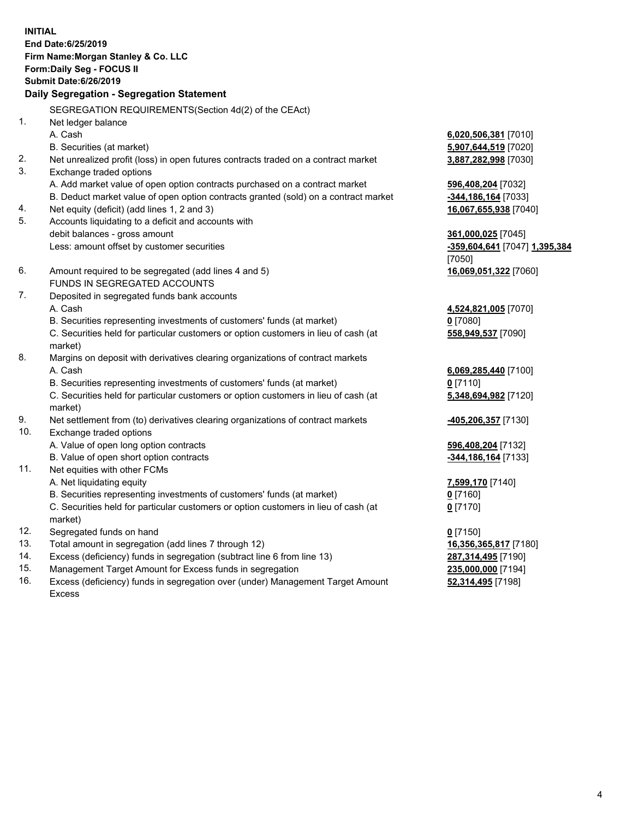**INITIAL End Date:6/25/2019 Firm Name:Morgan Stanley & Co. LLC Form:Daily Seg - FOCUS II Submit Date:6/26/2019 Daily Segregation - Segregation Statement** SEGREGATION REQUIREMENTS(Section 4d(2) of the CEAct) 1. Net ledger balance A. Cash **6,020,506,381** [7010] B. Securities (at market) **5,907,644,519** [7020] 2. Net unrealized profit (loss) in open futures contracts traded on a contract market **3,887,282,998** [7030] 3. Exchange traded options A. Add market value of open option contracts purchased on a contract market **596,408,204** [7032] B. Deduct market value of open option contracts granted (sold) on a contract market **-344,186,164** [7033] 4. Net equity (deficit) (add lines 1, 2 and 3) **16,067,655,938** [7040] 5. Accounts liquidating to a deficit and accounts with debit balances - gross amount **361,000,025** [7045] Less: amount offset by customer securities **-359,604,641** [7047] **1,395,384** [7050] 6. Amount required to be segregated (add lines 4 and 5) **16,069,051,322** [7060] FUNDS IN SEGREGATED ACCOUNTS 7. Deposited in segregated funds bank accounts A. Cash **4,524,821,005** [7070] B. Securities representing investments of customers' funds (at market) **0** [7080] C. Securities held for particular customers or option customers in lieu of cash (at market) **558,949,537** [7090] 8. Margins on deposit with derivatives clearing organizations of contract markets A. Cash **6,069,285,440** [7100] B. Securities representing investments of customers' funds (at market) **0** [7110] C. Securities held for particular customers or option customers in lieu of cash (at market) **5,348,694,982** [7120] 9. Net settlement from (to) derivatives clearing organizations of contract markets **-405,206,357** [7130] 10. Exchange traded options A. Value of open long option contracts **596,408,204** [7132] B. Value of open short option contracts **and the set of our of the set of our of the set of our of the set of the set of the set of the set of the set of the set of the set of the set of the set of the set of the set of th** 11. Net equities with other FCMs A. Net liquidating equity **7,599,170** [7140] B. Securities representing investments of customers' funds (at market) **0** [7160] C. Securities held for particular customers or option customers in lieu of cash (at market) **0** [7170] 12. Segregated funds on hand **0** [7150] 13. Total amount in segregation (add lines 7 through 12) **16,356,365,817** [7180] 14. Excess (deficiency) funds in segregation (subtract line 6 from line 13) **287,314,495** [7190] 15. Management Target Amount for Excess funds in segregation **235,000,000** [7194]

16. Excess (deficiency) funds in segregation over (under) Management Target Amount Excess

**52,314,495** [7198]